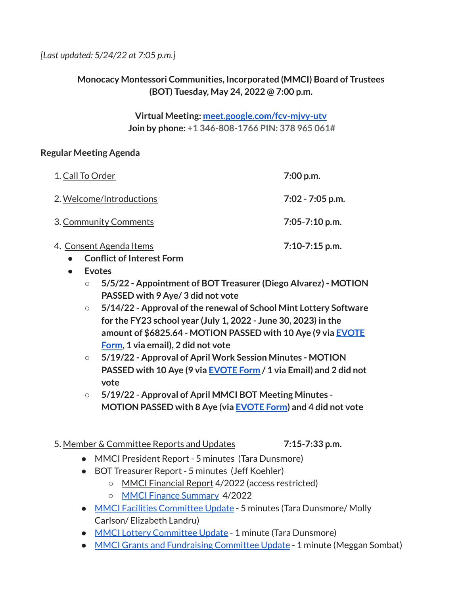# **Monocacy Montessori Communities, Incorporated (MMCI) Board of Trustees (BOT) Tuesday, May 24, 2022 @ 7:00 p.m.**

**Virtual Meeting: [meet.google.com/fcv-mjvy-utv](http://meet.google.com/fcv-mjvy-utv) Join by phone: +1 346-808-1766 PIN: 378 965 061#**

### **Regular Meeting Agenda**

| 1. Call To Order         | $7:00$ p.m.        |
|--------------------------|--------------------|
| 2. Welcome/Introductions | $7:02 - 7:05$ p.m. |
| 3. Community Comments    | $7:05 - 7:10$ p.m. |
| 4. Consent Agenda Items  | $7:10-7:15$ p.m.   |

- **● Conflict of Interest Form**
- **● Evotes**
	- **○ 5/5/22 - Appointment of BOT Treasurer (Diego Alvarez) - MOTION PASSED with 9 Aye/ 3 did not vote**
	- **○ 5/14/22 - Approval ofthe renewal of School Mint Lottery Software for the FY23 school year (July 1, 2022 - June 30, 2023) in the amount of \$6825.64 - MOTION PASSED with 10 Aye (9 via [EVOTE](https://drive.google.com/file/d/1ehbx7I97B7Iwg8nhT5TRG9Hmm18lvID2/view?usp=sharing) [Form](https://drive.google.com/file/d/1ehbx7I97B7Iwg8nhT5TRG9Hmm18lvID2/view?usp=sharing), 1 via email), 2 did not vote**
	- **○ 5/19/22 - Approval of April Work Session Minutes - MOTION PASSED with 10 Aye (9 via [EVOTE](https://drive.google.com/file/d/1z-B4IaXwtV83ktLjIx7d9-6x0BEEm6kB/view?usp=sharing) Form / 1 via Email) and 2 did not vote**
	- **○ 5/19/22 - Approval of April MMCI BOT Meeting Minutes - MOTION PASSED with 8 Aye (via [EVOTE](https://drive.google.com/file/d/16YL6IN60SqZ_myvVLXuVGrTMpXhUm4im/view?usp=sharing) Form) and 4 did not vote**
- 5. Member & Committee Reports and Updates **7:15-7:33 p.m.**
	-
	- MMCI President Report 5 minutes (Tara Dunsmore)
	- BOT Treasurer Report 5 minutes (Jeff Koehler)
		- MMCI Financial Report 4/2022 (access restricted)
		- MMCI Finance [Summary](https://drive.google.com/file/d/1eTcu2UsyrIdDptVRYf7CY9wXu3VuT6RV/view?usp=sharing) 4/2022
	- MMCI Facilities [Committee](https://docs.google.com/document/d/1AB0vmpYlW4soxr5ZfnX6P_hXk-Zx4kCrP3F1hM60e8Y/edit?usp=sharing) Update 5 minutes (Tara Dunsmore/ Molly Carlson/ Elizabeth Landru)
	- MMCI Lottery [Committee](https://docs.google.com/document/d/1R-U0TkNGa05D_q_OZZ0ncCYBpoyNY4-AXuNqQAXqroY/edit?usp=sharing) Update 1 minute (Tara Dunsmore)
	- MMCI Grants and [Fundraising](https://docs.google.com/document/d/1O7dDL0mzOZa9bnhILGp-Mzk6z00W_AR7dgnC2hZawnQ/edit?usp=sharing) Committee Update 1 minute (Meggan Sombat)